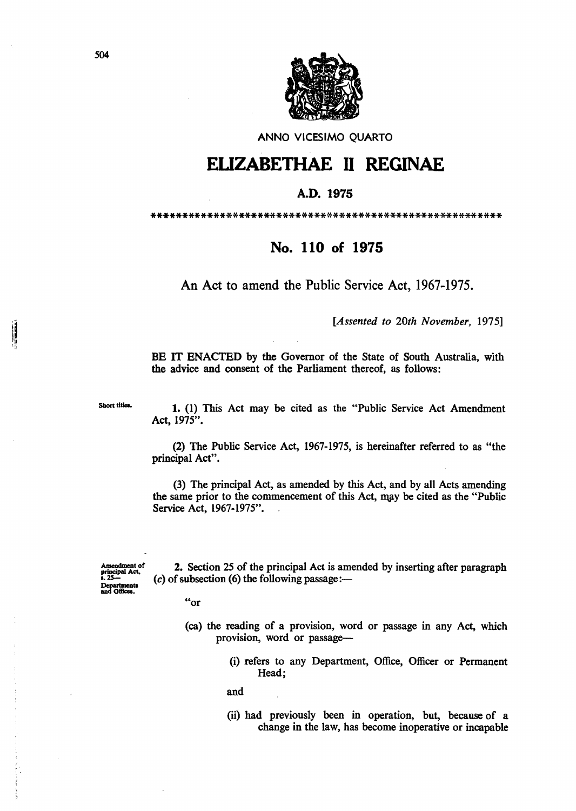

ANNO VICESIMO QUARTO

## ELIZABETHAE II REGINAE

## A.D. 1975

## No. 110 of 1975

An Act to amend the Public Service Act, 1967-1975.

[Assented to 20th November, 1975]

BE IT ENACTED by the Governor of the State of South Australia, with the advice and consent of the Parliament thereof, as follows:

Short titles.

1. (1) This Act may be cited as the "Public Service Act Amendment Act, 1975".

(2) The Public Service Act, 1967-1975, is hereinafter referred to as "the principal Act".

(3) The principal Act, as amended by this Act, and by all Acts amending the same prior to the commencement of this Act, may be cited as the "Public" Service Act, 1967-1975".

manument<br>principal Act,<br>s. 25-Amendment of Departmen<br>and Offices.

2. Section 25 of the principal Act is amended by inserting after paragraph (c) of subsection (6) the following passage: $-$ 

 $"or$ 

- (ca) the reading of a provision, word or passage in any Act, which provision, word or passage-
	- (i) refers to any Department, Office, Officer or Permanent Head:

and

(ii) had previously been in operation, but, because of a change in the law, has become inoperative or incapable